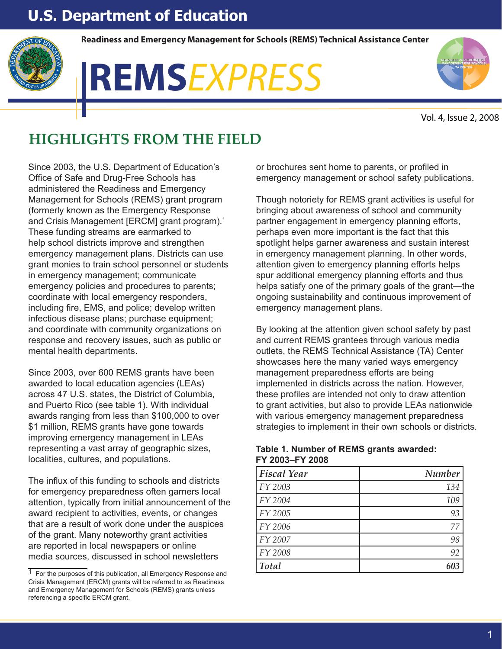# **U.S. Department of Education**



**Readiness and Emergency Management for Schools (REMS) Technical Assistance Center**

# **READINESS AND REMS**EXPRESS



Vol. 4, Issue 2, 2008

# **HIGHLIGHTS FROM THE FIELD**

Since 2003, the U.S. Department of Education's Office of Safe and Drug-Free Schools has administered the Readiness and Emergency Management for Schools (REMS) grant program (formerly known as the Emergency Response and Crisis Management [ERCM] grant program).<sup>1</sup> These funding streams are earmarked to help school districts improve and strengthen emergency management plans. Districts can use grant monies to train school personnel or students in emergency management; communicate emergency policies and procedures to parents; coordinate with local emergency responders, including fire, EMS, and police; develop written infectious disease plans; purchase equipment; and coordinate with community organizations on response and recovery issues, such as public or mental health departments.

Since 2003, over 600 REMS grants have been awarded to local education agencies (LEAs) across 47 U.S. states, the District of Columbia, and Puerto Rico (see table 1). With individual awards ranging from less than \$100,000 to over \$1 million, REMS grants have gone towards improving emergency management in LEAs representing a vast array of geographic sizes, localities, cultures, and populations.

The influx of this funding to schools and districts for emergency preparedness often garners local attention, typically from initial announcement of the award recipient to activities, events, or changes that are a result of work done under the auspices of the grant. Many noteworthy grant activities are reported in local newspapers or online media sources, discussed in school newsletters

or brochures sent home to parents, or profiled in emergency management or school safety publications.

Though notoriety for REMS grant activities is useful for bringing about awareness of school and community partner engagement in emergency planning efforts, perhaps even more important is the fact that this spotlight helps garner awareness and sustain interest in emergency management planning. In other words, attention given to emergency planning efforts helps spur additional emergency planning efforts and thus helps satisfy one of the primary goals of the grant—the ongoing sustainability and continuous improvement of emergency management plans.

By looking at the attention given school safety by past and current REMS grantees through various media outlets, the REMS Technical Assistance (TA) Center showcases here the many varied ways emergency management preparedness efforts are being implemented in districts across the nation. However, these profiles are intended not only to draw attention to grant activities, but also to provide LEAs nationwide with various emergency management preparedness strategies to implement in their own schools or districts.

| <b>Fiscal Year</b> | <b>Number</b> |
|--------------------|---------------|
| FY 2003            | 134           |
| FY 2004            | 109           |
| FY 2005            | 93            |
| FY 2006            | 77            |
| FY 2007            | 98            |
| FY 2008            | 92            |
| <b>Total</b>       |               |

# **FY 2003–FY 2008Table 1. Number of REMS grants awarded:**

 $\overline{1}$  For the purposes of this publication, all Emergency Response and Crisis Management (ERCM) grants will be referred to as Readiness and Emergency Management for Schools (REMS) grants unless referencing a specific ERCM grant.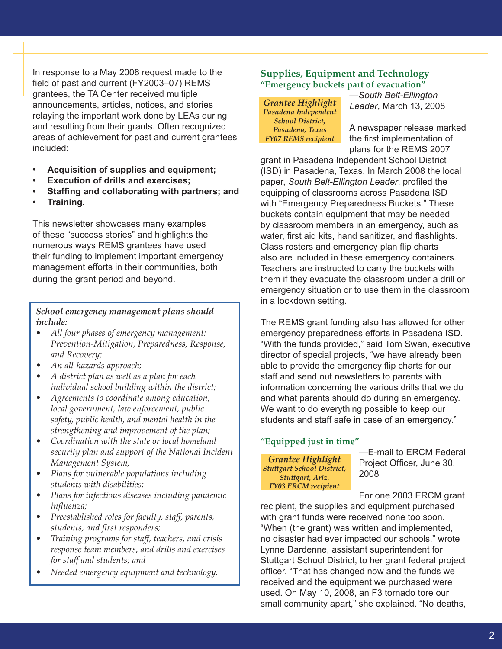In response to a May 2008 request made to the field of past and current (FY2003–07) REMS grantees, the TA Center received multiple announcements, articles, notices, and stories relaying the important work done by LEAs during and resulting from their grants. Often recognized areas of achievement for past and current grantees included:

- **Acquisition of supplies and equipment;**
- **Execution of drills and exercises;**
- **Staffing and collaborating with partners; and**
- **Training.**

This newsletter showcases many examples of these "success stories" and highlights the numerous ways REMS grantees have used their funding to implement important emergency management efforts in their communities, both during the grant period and beyond.

### *School emergency management plans should include:*

- *All four phases of emergency management: Prevention-Mitigation, Preparedness, Response, and Recovery;*
- *An all-hazards approach;*
- *A district plan as well as a plan for each individual school building within the district;*
- *Agreements to coordinate among education, local government, law enforcement, public safety, public health, and mental health in the strengthening and improvement of the plan;*
- *Coordination with the state or local homeland security plan and support of the National Incident Management System;*
- *Plans for vulnerable populations including students with disabilities;*
- *Plans for infectious diseases including pandemic influenza;*
- *Preestablished roles for faculty, staff, parents, students, and first responders;*
- *Training programs for staff, teachers, and crisis response team members, and drills and exercises for staff and students; and*
- *Needed emergency equipment and technology.*

# **Supplies, Equipment and Technology "Emergency buckets part of evacuation"**

*Grantee Highlight Pasadena Independent School District, Pasadena, Texas FY07 REMS recipient*

—*South Belt-Ellington Leader*, March 13, 2008

A newspaper release marked the first implementation of plans for the REMS 2007

grant in Pasadena Independent School District (ISD) in Pasadena, Texas. In March 2008 the local paper, *South Belt-Ellington Leader*, profiled the equipping of classrooms across Pasadena ISD with "Emergency Preparedness Buckets." These buckets contain equipment that may be needed by classroom members in an emergency, such as water, first aid kits, hand sanitizer, and flashlights. Class rosters and emergency plan flip charts also are included in these emergency containers. Teachers are instructed to carry the buckets with them if they evacuate the classroom under a drill or emergency situation or to use them in the classroom in a lockdown setting.

The REMS grant funding also has allowed for other emergency preparedness efforts in Pasadena ISD. "With the funds provided," said Tom Swan, executive director of special projects, "we have already been able to provide the emergency flip charts for our staff and send out newsletters to parents with information concerning the various drills that we do and what parents should do during an emergency. We want to do everything possible to keep our students and staff safe in case of an emergency."

# **"Equipped just in time"**

*Grantee Highlight Stu-gart School District, Stuttgart, Ariz. FY03 ERCM recipient*

—E-mail to ERCM Federal Project Officer, June 30, 2008

For one 2003 ERCM grant

recipient, the supplies and equipment purchased with grant funds were received none too soon. "When (the grant) was written and implemented, no disaster had ever impacted our schools," wrote Lynne Dardenne, assistant superintendent for Stuttgart School District, to her grant federal project officer. "That has changed now and the funds we received and the equipment we purchased were used. On May 10, 2008, an F3 tornado tore our small community apart," she explained. "No deaths,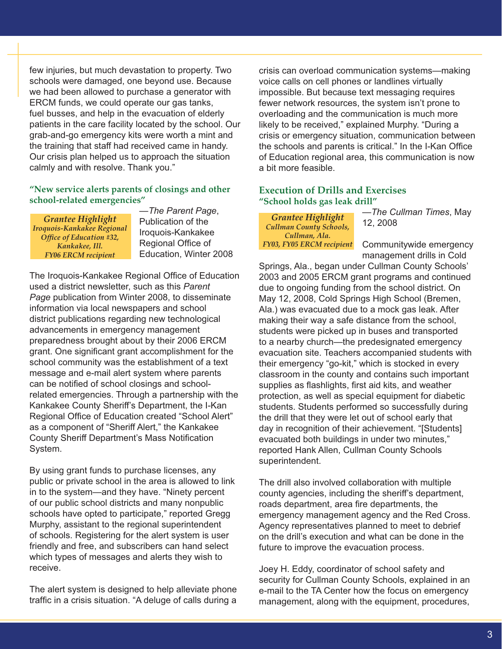few injuries, but much devastation to property. Two schools were damaged, one beyond use. Because we had been allowed to purchase a generator with ERCM funds, we could operate our gas tanks, fuel busses, and help in the evacuation of elderly patients in the care facility located by the school. Our grab-and-go emergency kits were worth a mint and the training that staff had received came in handy. Our crisis plan helped us to approach the situation calmly and with resolve. Thank you."

# **"New service alerts parents of closings and other school-related emergencies"**

*Grantee Highlight Iroquois-Kankakee Regional Office of Education #32, Kankakee, Ill. FY06 ERCM recipient*

—*The Parent Page*, Publication of the Iroquois-Kankakee Regional Office of Education, Winter 2008

The Iroquois-Kankakee Regional Office of Education used a district newsletter, such as this *Parent Page* publication from Winter 2008, to disseminate information via local newspapers and school district publications regarding new technological advancements in emergency management preparedness brought about by their 2006 ERCM grant. One significant grant accomplishment for the school community was the establishment of a text message and e-mail alert system where parents can be notified of school closings and schoolrelated emergencies. Through a partnership with the Kankakee County Sheriff's Department, the I-Kan Regional Office of Education created "School Alert" as a component of "Sheriff Alert," the Kankakee County Sheriff Department's Mass Notification System.

By using grant funds to purchase licenses, any public or private school in the area is allowed to link in to the system—and they have. "Ninety percent of our public school districts and many nonpublic schools have opted to participate," reported Gregg Murphy, assistant to the regional superintendent of schools. Registering for the alert system is user friendly and free, and subscribers can hand select which types of messages and alerts they wish to receive.

The alert system is designed to help alleviate phone traffic in a crisis situation. "A deluge of calls during a

crisis can overload communication systems—making voice calls on cell phones or landlines virtually impossible. But because text messaging requires fewer network resources, the system isn't prone to overloading and the communication is much more likely to be received," explained Murphy. "During a crisis or emergency situation, communication between the schools and parents is critical." In the I-Kan Office of Education regional area, this communication is now a bit more feasible.

# **Execution of Drills and Exercises "School holds gas leak drill"**

*Grantee Highlight Cullman County Schools, Cullman, Ala. FY03, FY05 ERCM recipient* —*The Cullman Times*, May 12, 2008

Communitywide emergency management drills in Cold

Springs, Ala., began under Cullman County Schools' 2003 and 2005 ERCM grant programs and continued due to ongoing funding from the school district. On May 12, 2008, Cold Springs High School (Bremen, Ala.) was evacuated due to a mock gas leak. After making their way a safe distance from the school, students were picked up in buses and transported to a nearby church—the predesignated emergency evacuation site. Teachers accompanied students with their emergency "go-kit," which is stocked in every classroom in the county and contains such important supplies as flashlights, first aid kits, and weather protection, as well as special equipment for diabetic students. Students performed so successfully during the drill that they were let out of school early that day in recognition of their achievement. "[Students] evacuated both buildings in under two minutes," reported Hank Allen, Cullman County Schools superintendent.

The drill also involved collaboration with multiple county agencies, including the sheriff's department, roads department, area fire departments, the emergency management agency and the Red Cross. Agency representatives planned to meet to debrief on the drill's execution and what can be done in the future to improve the evacuation process.

Joey H. Eddy, coordinator of school safety and security for Cullman County Schools, explained in an e-mail to the TA Center how the focus on emergency management, along with the equipment, procedures,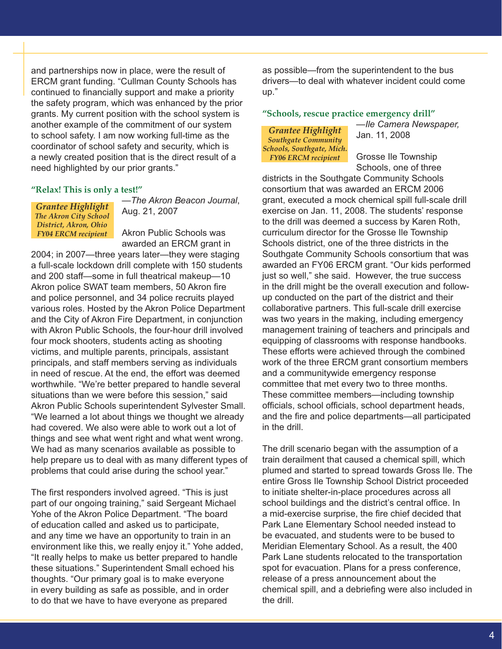and partnerships now in place, were the result of ERCM grant funding. "Cullman County Schools has continued to financially support and make a priority the safety program, which was enhanced by the prior grants. My current position with the school system is another example of the commitment of our system to school safety. I am now working full-time as the coordinator of school safety and security, which is a newly created position that is the direct result of a need highlighted by our prior grants."

#### **"Relax! This is only a test!"**

*Grantee Highlight The Akron City School District, Akron, Ohio FY04 ERCM recipient* —*The Akron Beacon Journal*, Aug. 21, 2007

Akron Public Schools was awarded an ERCM grant in

2004; in 2007—three years later—they were staging a full-scale lockdown drill complete with 150 students and 200 staff—some in full theatrical makeup—10 Akron police SWAT team members, 50 Akron fire and police personnel, and 34 police recruits played various roles. Hosted by the Akron Police Department and the City of Akron Fire Department, in conjunction with Akron Public Schools, the four-hour drill involved four mock shooters, students acting as shooting victims, and multiple parents, principals, assistant principals, and staff members serving as individuals in need of rescue. At the end, the effort was deemed worthwhile. "We're better prepared to handle several situations than we were before this session," said Akron Public Schools superintendent Sylvester Small. "We learned a lot about things we thought we already had covered. We also were able to work out a lot of things and see what went right and what went wrong. We had as many scenarios available as possible to help prepare us to deal with as many different types of problems that could arise during the school year."

The first responders involved agreed. "This is just part of our ongoing training," said Sergeant Michael Yohe of the Akron Police Department. "The board of education called and asked us to participate, and any time we have an opportunity to train in an environment like this, we really enjoy it." Yohe added, "It really helps to make us better prepared to handle these situations." Superintendent Small echoed his thoughts. "Our primary goal is to make everyone in every building as safe as possible, and in order to do that we have to have everyone as prepared

as possible—from the superintendent to the bus drivers—to deal with whatever incident could come up."

#### **"Schools, rescue practice emergency drill"**

#### *Grantee Highlight Southgate Community Schools, Southgate, Mich. FY06 ERCM recipient*

—*Ile Camera Newspaper,*  Jan. 11, 2008

Grosse Ile Township Schools, one of three

districts in the Southgate Community Schools consortium that was awarded an ERCM 2006 grant, executed a mock chemical spill full-scale drill exercise on Jan. 11, 2008. The students' response to the drill was deemed a success by Karen Roth, curriculum director for the Grosse Ile Township Schools district, one of the three districts in the Southgate Community Schools consortium that was awarded an FY06 ERCM grant. "Our kids performed just so well," she said. However, the true success in the drill might be the overall execution and followup conducted on the part of the district and their collaborative partners. This full-scale drill exercise was two years in the making, including emergency management training of teachers and principals and equipping of classrooms with response handbooks. These efforts were achieved through the combined work of the three ERCM grant consortium members and a communitywide emergency response committee that met every two to three months. These committee members—including township officials, school officials, school department heads, and the fire and police departments—all participated in the drill.

The drill scenario began with the assumption of a train derailment that caused a chemical spill, which plumed and started to spread towards Gross Ile. The entire Gross Ile Township School District proceeded to initiate shelter-in-place procedures across all school buildings and the district's central office. In a mid-exercise surprise, the fire chief decided that Park Lane Elementary School needed instead to be evacuated, and students were to be bused to Meridian Elementary School. As a result, the 400 Park Lane students relocated to the transportation spot for evacuation. Plans for a press conference, release of a press announcement about the chemical spill, and a debriefing were also included in the drill.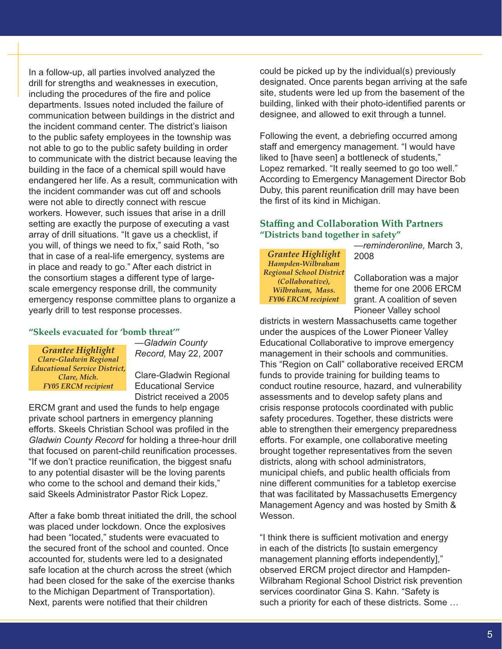In a follow-up, all parties involved analyzed the drill for strengths and weaknesses in execution, including the procedures of the fire and police departments. Issues noted included the failure of communication between buildings in the district and the incident command center. The district's liaison to the public safety employees in the township was not able to go to the public safety building in order to communicate with the district because leaving the building in the face of a chemical spill would have endangered her life. As a result, communication with the incident commander was cut off and schools were not able to directly connect with rescue workers. However, such issues that arise in a drill setting are exactly the purpose of executing a vast array of drill situations. "It gave us a checklist, if you will, of things we need to fix," said Roth, "so that in case of a real-life emergency, systems are in place and ready to go." After each district in the consortium stages a different type of largescale emergency response drill, the community emergency response committee plans to organize a yearly drill to test response processes.

#### **"Skeels evacuated for 'bomb threat'"**

*Grantee Highlight Clare-Gladwin Regional Educational Service District, Clare, Mich. FY05 ERCM recipient*

—*Gladwin County Record,* May 22, 2007

Clare-Gladwin Regional Educational Service District received a 2005

ERCM grant and used the funds to help engage private school partners in emergency planning efforts. Skeels Christian School was profiled in the *Gladwin County Record* for holding a three-hour drill that focused on parent-child reunification processes. "If we don't practice reunification, the biggest snafu to any potential disaster will be the loving parents who come to the school and demand their kids." said Skeels Administrator Pastor Rick Lopez.

After a fake bomb threat initiated the drill, the school was placed under lockdown. Once the explosives had been "located," students were evacuated to the secured front of the school and counted. Once accounted for, students were led to a designated safe location at the church across the street (which had been closed for the sake of the exercise thanks to the Michigan Department of Transportation). Next, parents were notified that their children

could be picked up by the individual(s) previously designated. Once parents began arriving at the safe site, students were led up from the basement of the building, linked with their photo-identified parents or designee, and allowed to exit through a tunnel.

Following the event, a debriefing occurred among staff and emergency management. "I would have liked to [have seen] a bottleneck of students," Lopez remarked. "It really seemed to go too well." According to Emergency Management Director Bob Duby, this parent reunification drill may have been the first of its kind in Michigan.

# **Staffing and Collaboration With Partners "Districts band together in safety"**

*Grantee Highlight Hampden-Wilbraham Regional School District (Collaborative), Wilbraham, Mass. FY06 ERCM recipient*

—*reminderonline,* March 3, 2008

Collaboration was a major theme for one 2006 ERCM grant. A coalition of seven Pioneer Valley school

districts in western Massachusetts came together under the auspices of the Lower Pioneer Valley Educational Collaborative to improve emergency management in their schools and communities. This "Region on Call" collaborative received ERCM funds to provide training for building teams to conduct routine resource, hazard, and vulnerability assessments and to develop safety plans and crisis response protocols coordinated with public safety procedures. Together, these districts were able to strengthen their emergency preparedness efforts. For example, one collaborative meeting brought together representatives from the seven districts, along with school administrators, municipal chiefs, and public health officials from nine different communities for a tabletop exercise that was facilitated by Massachusetts Emergency Management Agency and was hosted by Smith & Wesson.

"I think there is sufficient motivation and energy in each of the districts [to sustain emergency management planning efforts independently]," observed ERCM project director and Hampden-Wilbraham Regional School District risk prevention services coordinator Gina S. Kahn. "Safety is such a priority for each of these districts. Some …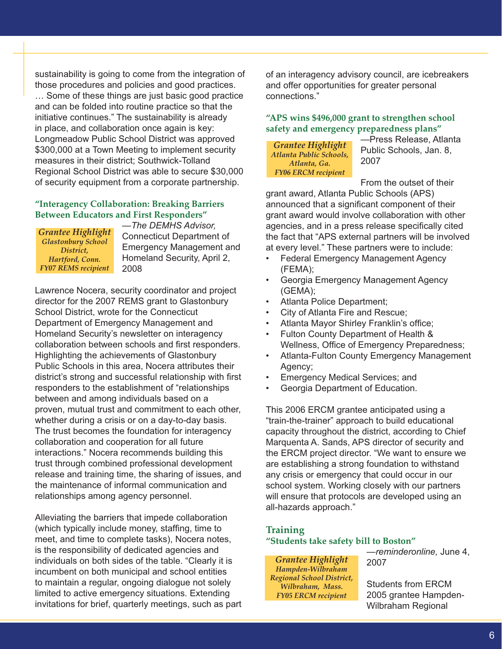sustainability is going to come from the integration of those procedures and policies and good practices. … Some of these things are just basic good practice and can be folded into routine practice so that the initiative continues." The sustainability is already in place, and collaboration once again is key: Longmeadow Public School District was approved \$300,000 at a Town Meeting to implement security measures in their district; Southwick-Tolland Regional School District was able to secure \$30,000 of security equipment from a corporate partnership.

# **"Interagency Collaboration: Breaking Barriers Between Educators and First Responders"**

*Grantee Highlight Glastonbury School District, Hartford, Conn. FY07 REMS recipient*

—*The DEMHS Advisor,*  Connecticut Department of Emergency Management and Homeland Security, April 2, 2008

Lawrence Nocera, security coordinator and project director for the 2007 REMS grant to Glastonbury School District, wrote for the Connecticut Department of Emergency Management and Homeland Security's newsletter on interagency collaboration between schools and first responders. Highlighting the achievements of Glastonbury Public Schools in this area, Nocera attributes their district's strong and successful relationship with first responders to the establishment of "relationships between and among individuals based on a proven, mutual trust and commitment to each other, whether during a crisis or on a day-to-day basis. The trust becomes the foundation for interagency collaboration and cooperation for all future interactions." Nocera recommends building this trust through combined professional development release and training time, the sharing of issues, and the maintenance of informal communication and relationships among agency personnel.

Alleviating the barriers that impede collaboration (which typically include money, staffing, time to meet, and time to complete tasks), Nocera notes, is the responsibility of dedicated agencies and individuals on both sides of the table. "Clearly it is incumbent on both municipal and school entities to maintain a regular, ongoing dialogue not solely limited to active emergency situations. Extending invitations for brief, quarterly meetings, such as part of an interagency advisory council, are icebreakers and offer opportunities for greater personal connections."

# **"APS wins \$496,000 grant to strengthen school safety and emergency preparedness plans"**

*Grantee Highlight Atlanta Public Schools, Atlanta, Ga. FY06 ERCM recipient*

—Press Release, Atlanta Public Schools, Jan. 8, 2007

From the outset of their

grant award, Atlanta Public Schools (APS) announced that a significant component of their grant award would involve collaboration with other agencies, and in a press release specifically cited the fact that "APS external partners will be involved at every level." These partners were to include:

- Federal Emergency Management Agency (FEMA);
- Georgia Emergency Management Agency (GEMA);
- Atlanta Police Department;
- City of Atlanta Fire and Rescue;
- Atlanta Mayor Shirley Franklin's office;
- Fulton County Department of Health & Wellness, Office of Emergency Preparedness;
- Atlanta-Fulton County Emergency Management Agency;
- Emergency Medical Services; and
- Georgia Department of Education.

This 2006 ERCM grantee anticipated using a "train-the-trainer" approach to build educational capacity throughout the district, according to Chief Marquenta A. Sands, APS director of security and the ERCM project director. "We want to ensure we are establishing a strong foundation to withstand any crisis or emergency that could occur in our school system. Working closely with our partners will ensure that protocols are developed using an all-hazards approach."

# **Training "Students take safety bill to Boston"**

*Grantee Highlight Hampden-Wilbraham Regional School District, Wilbraham, Mass. FY05 ERCM recipient*

—*reminderonline,* June 4, 2007

Students from ERCM 2005 grantee Hampden-Wilbraham Regional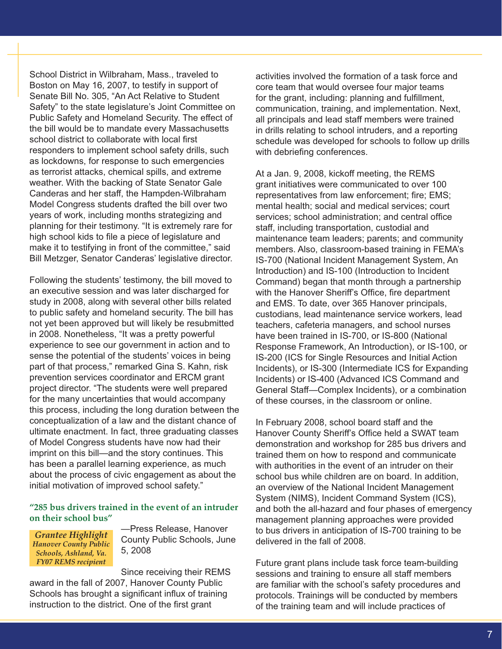School District in Wilbraham, Mass., traveled to Boston on May 16, 2007, to testify in support of Senate Bill No. 305, "An Act Relative to Student Safety" to the state legislature's Joint Committee on Public Safety and Homeland Security. The effect of the bill would be to mandate every Massachusetts school district to collaborate with local first responders to implement school safety drills, such as lockdowns, for response to such emergencies as terrorist attacks, chemical spills, and extreme weather. With the backing of State Senator Gale Canderas and her staff, the Hampden-Wilbraham Model Congress students drafted the bill over two years of work, including months strategizing and planning for their testimony. "It is extremely rare for high school kids to file a piece of legislature and make it to testifying in front of the committee," said Bill Metzger, Senator Canderas' legislative director.

Following the students' testimony, the bill moved to an executive session and was later discharged for study in 2008, along with several other bills related to public safety and homeland security. The bill has not yet been approved but will likely be resubmitted in 2008. Nonetheless, "It was a pretty powerful experience to see our government in action and to sense the potential of the students' voices in being part of that process," remarked Gina S. Kahn, risk prevention services coordinator and ERCM grant project director. "The students were well prepared for the many uncertainties that would accompany this process, including the long duration between the conceptualization of a law and the distant chance of ultimate enactment. In fact, three graduating classes of Model Congress students have now had their imprint on this bill—and the story continues. This has been a parallel learning experience, as much about the process of civic engagement as about the initial motivation of improved school safety."

#### **"285 bus drivers trained in the event of an intruder on their school bus"**

*Grantee Highlight Hanover County Public Schools, Ashland, Va. FY07 REMS recipient*

—Press Release, Hanover County Public Schools, June 5, 2008

Since receiving their REMS award in the fall of 2007, Hanover County Public Schools has brought a significant influx of training instruction to the district. One of the first grant

activities involved the formation of a task force and core team that would oversee four major teams for the grant, including: planning and fulfillment, communication, training, and implementation. Next, all principals and lead staff members were trained in drills relating to school intruders, and a reporting schedule was developed for schools to follow up drills with debriefing conferences.

At a Jan. 9, 2008, kickoff meeting, the REMS grant initiatives were communicated to over 100 representatives from law enforcement; fire; EMS; mental health; social and medical services; court services; school administration; and central office staff, including transportation, custodial and maintenance team leaders; parents; and community members. Also, classroom-based training in FEMA's IS-700 (National Incident Management System, An Introduction) and IS-100 (Introduction to Incident Command) began that month through a partnership with the Hanover Sheriff's Office, fire department and EMS. To date, over 365 Hanover principals, custodians, lead maintenance service workers, lead teachers, cafeteria managers, and school nurses have been trained in IS-700, or IS-800 (National Response Framework, An Introduction), or IS-100, or IS-200 (ICS for Single Resources and Initial Action Incidents), or IS-300 (Intermediate ICS for Expanding Incidents) or IS-400 (Advanced ICS Command and General Staff—Complex Incidents), or a combination of these courses, in the classroom or online.

In February 2008, school board staff and the Hanover County Sheriff's Office held a SWAT team demonstration and workshop for 285 bus drivers and trained them on how to respond and communicate with authorities in the event of an intruder on their school bus while children are on board. In addition, an overview of the National Incident Management System (NIMS), Incident Command System (ICS), and both the all-hazard and four phases of emergency management planning approaches were provided to bus drivers in anticipation of IS-700 training to be delivered in the fall of 2008.

Future grant plans include task force team-building sessions and training to ensure all staff members are familiar with the school's safety procedures and protocols. Trainings will be conducted by members of the training team and will include practices of